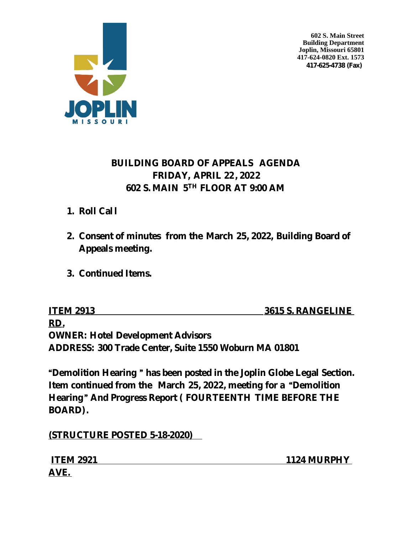



# **BUILDING BOARD OF APPEALS AGENDA FRIDAY, APRIL 22 , 2022 602 S. MAIN 5 TH FLOOR AT 9:00 AM**

- **1. Roll Call**
- **2. Consent of minutes from the March 25, 2022, Building Board of Appeals meeting.**
- **3. Continued Items.**

**ITEM 2913** 3615 S. RANGELINE **RD. OWNER: Hotel Development Advisors ADDRESS: 300 Trade Center, Suite 1550 Woburn MA 01801**

"**Demolition Hearing** " **has been posted in the Joplin Globe Legal Section. Item continued from the March 25, 2022, meeting for a** "**Demolition Hearing**" **And Progress Report ( FOURTEENTH TIME BEFORE THE BOARD).**

**(STRUCTURE POSTED 5-18-2020)** 

| <b>ITEM 2921</b> | 1124 MURPHY |
|------------------|-------------|
| AVE.             |             |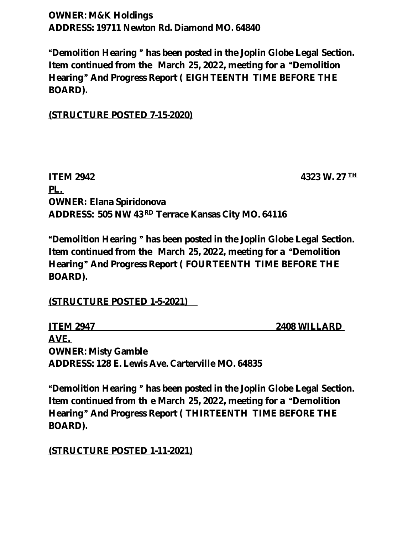**OWNER: M&K Holdings ADDRESS: 19711 Newton Rd. Diamond MO. 64840**

"**Demolition Hearing** " **has been posted in the Joplin Globe Legal Section. Item continued from the March 25, 2022, meeting for a** "**Demolition Hearing**" **And Progress Report ( EIGHTEENTH TIME BEFORE THE BOARD).**

**(STRUCTURE POSTED 7-15-2020)**

**ITEM 2942 4323 W. 27 TH PL. OWNER: Elana Spiridonova ADDRESS: 505 NW 43 RD Terrace Kansas City MO. 64116**

"**Demolition Hearing** " **has been posted in the Joplin Globe Legal Section. Item continued from the March 25, 2022, meeting for a** "**Demolition Hearing**" **And Progress Report ( FOURTEENTH TIME BEFORE THE BOARD).**

**(STRUCTURE POSTED 1-5-2021)** 

**ITEM 2947** 2408 WILLARD **AVE. OWNER: Misty Gamble ADDRESS: 128 E. Lewis Ave. Carterville MO. 64835**

"**Demolition Hearing** " **has been posted in the Joplin Globe Legal Section. Item continued from th e March 25, 2022, meeting for a** "**Demolition Hearing**" **And Progress Report ( THIRTEENTH TIME BEFORE THE BOARD).**

**(STRUCTURE POSTED 1-11-2021)**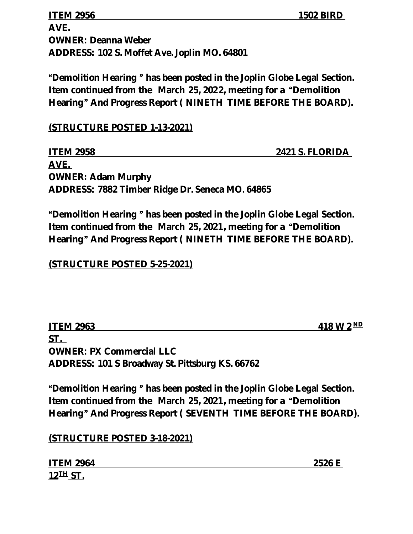**ITEM 2956** 1502 BIRD **AVE. OWNER: Deanna Weber ADDRESS: 102 S. Moffet Ave. Joplin MO. 64801**

"**Demolition Hearing** " **has been posted in the Joplin Globe Legal Section. Item continued from the March 25, 2022, meeting for a** "**Demolition Hearing**" **And Progress Report ( NINETH TIME BEFORE THE BOARD).**

**(STRUCTURE POSTED 1-13-2021)**

| <b>ITEM 2958</b>                                | <b>2421 S. FLORIDA</b> |
|-------------------------------------------------|------------------------|
| AVE.                                            |                        |
| <b>OWNER: Adam Murphy</b>                       |                        |
| ADDRESS: 7882 Timber Ridge Dr. Seneca MO. 64865 |                        |

"**Demolition Hearing** " **has been posted in the Joplin Globe Legal Section. Item continued from the March 25, 2021, meeting for a** "**Demolition Hearing**" **And Progress Report ( NINETH TIME BEFORE THE BOARD).**

**(STRUCTURE POSTED 5-25-2021)**

| <b>ITEM 2963</b>                                       | 418 W $2^{ND}$ |
|--------------------------------------------------------|----------------|
| <b>ST.</b>                                             |                |
| <b>OWNER: PX Commercial LLC</b>                        |                |
| <b>ADDRESS: 101 S Broadway St. Pittsburg KS. 66762</b> |                |

"**Demolition Hearing** " **has been posted in the Joplin Globe Legal Section. Item continued from the March 25, 2021, meeting for a** "**Demolition Hearing**" **And Progress Report ( SEVENTH TIME BEFORE THE BOARD).**

**(STRUCTURE POSTED 3-18-2021)**

**ITEM 2964** 2526 E **12TH ST.**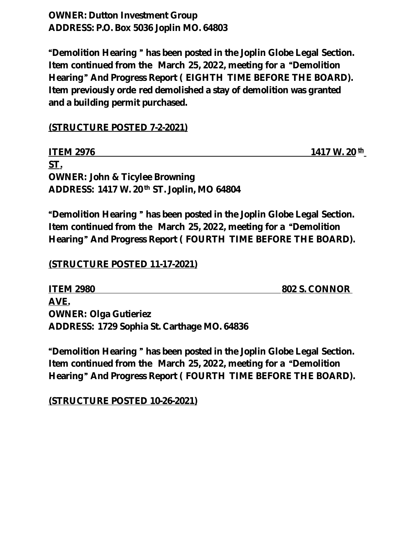**OWNER: Dutton Investment Group ADDRESS: P.O. Box 5036 Joplin MO. 64803**

"**Demolition Hearing** " **has been posted in the Joplin Globe Legal Section. Item continued from the March 25, 2022, meeting for a** "**Demolition Hearing**" **And Progress Report ( EIGHTH TIME BEFORE THE BOARD). Item previously orde red demolished a stay of demolition was granted and a building permit purchased.**

### **(STRUCTURE POSTED 7-2-2021)**

| <b>ITEM 2976</b>                                       | $1417 \text{ W}$ . $20 \text{ th}$ |
|--------------------------------------------------------|------------------------------------|
| ST.                                                    |                                    |
| <b>OWNER: John &amp; Ticylee Browning</b>              |                                    |
| ADDRESS: 1417 W. 20 <sup>th</sup> ST. Joplin, MO 64804 |                                    |

"**Demolition Hearing** " **has been posted in the Joplin Globe Legal Section. Item continued from the March 25, 2022, meeting for a** "**Demolition Hearing**" **And Progress Report ( FOURTH TIME BEFORE THE BOARD).**

#### **(STRUCTURE POSTED 11-17-2021)**

**ITEM 2980 802 S. CONNOR AVE. OWNER: Olga Gutieriez ADDRESS: 1729 Sophia St. Carthage MO. 64836**

"**Demolition Hearing** " **has been posted in the Joplin Globe Legal Section. Item continued from the March 25, 2022, meeting for a** "**Demolition Hearing**" **And Progress Report ( FOURTH TIME BEFORE THE BOARD).**

**(STRUCTURE POSTED 10-26-2021)**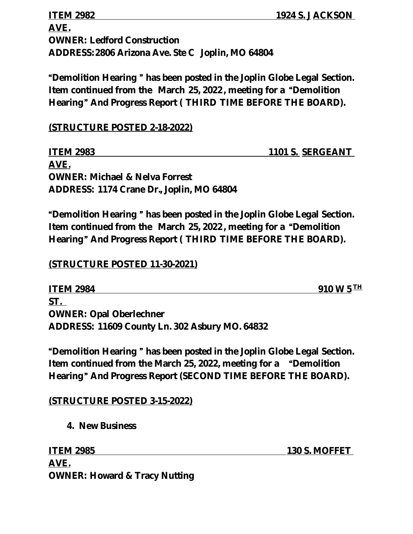**ITEM 2982 1924 S. J ACKSON AVE. OWNER: Ledford Construction ADDRESS: 2806 Arizona Ave. Ste C Joplin, MO 64804**

"**Demolition Hearing** " **has been posted in the Joplin Globe Legal Section. Item continued from the March 25, 2022 , meeting for a** "**Demolition Hearing**" **And Progress Report ( THIRD TIME BEFORE THE BOARD).**

**(STRUCTURE POSTED 2-18-2022)**

**ITEM 2983 1101 S. SERGEANT AVE. OWNER: Michael & Nelva Forrest ADDRESS: 1174 Crane Dr., Joplin, MO 64804**

"**Demolition Hearing** " **has been posted in the Joplin Globe Legal Section. Item continued from the March 25, 2022 , meeting for a** "**Demolition Hearing**" **And Progress Report ( THIRD TIME BEFORE THE BOARD).**

## **(STRUCTURE POSTED 11-30-2021)**

**ITEM 2984** 910 W 5<sup>TH</sup> **ST. OWNER: Opal Oberlechner ADDRESS: 11609 County Ln. 302 Asbury MO. 64832**

"**Demolition Hearing** " **has been posted in the Joplin Globe Legal Section. Item continued from the March 25, 2022, meeting for a** "**Demolition Hearing**" **And Progress Report (SECOND TIME BEFORE THE BOARD).**

## **(STRUCTURE POSTED 3-15-2022)**

**4. New Business**

**ITEM 2985 130 S. MOFFET AVE. OWNER: Howard & Tracy Nutting**